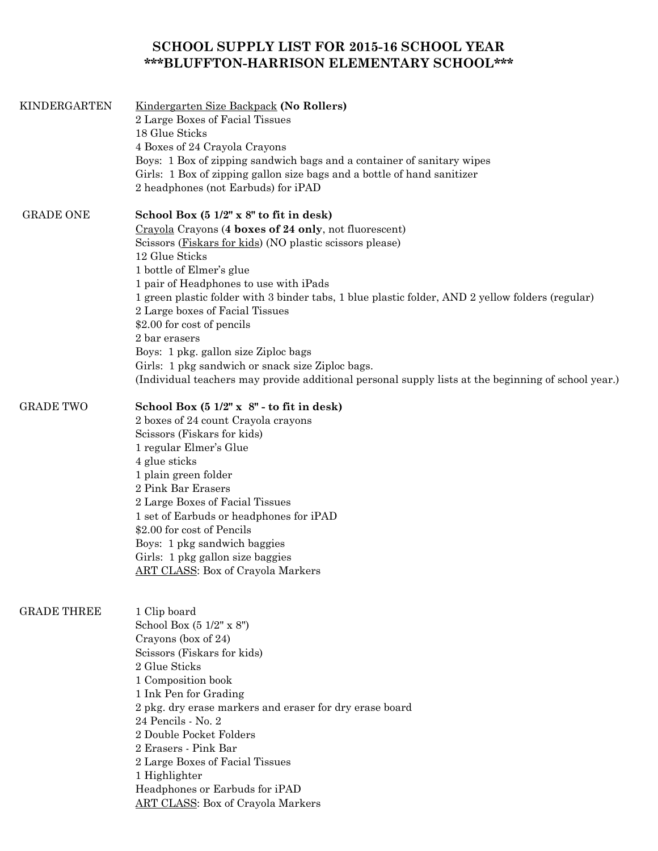## **SCHOOL SUPPLY LIST FOR 2015-16 SCHOOL YEAR \*\*\*BLUFFTON-HARRISON ELEMENTARY SCHOOL\*\*\***

| KINDERGARTEN       | Kindergarten Size Backpack (No Rollers)<br>2 Large Boxes of Facial Tissues<br>18 Glue Sticks<br>4 Boxes of 24 Crayola Crayons<br>Boys: 1 Box of zipping sandwich bags and a container of sanitary wipes<br>Girls: 1 Box of zipping gallon size bags and a bottle of hand sanitizer<br>2 headphones (not Earbuds) for iPAD                                                                                                                                                                                                                                                                                                                     |
|--------------------|-----------------------------------------------------------------------------------------------------------------------------------------------------------------------------------------------------------------------------------------------------------------------------------------------------------------------------------------------------------------------------------------------------------------------------------------------------------------------------------------------------------------------------------------------------------------------------------------------------------------------------------------------|
| <b>GRADE ONE</b>   | School Box (5 1/2" x 8" to fit in desk)<br>Crayola Crayons (4 boxes of 24 only, not fluorescent)<br>Scissors (Fiskars for kids) (NO plastic scissors please)<br>12 Glue Sticks<br>1 bottle of Elmer's glue<br>1 pair of Headphones to use with iPads<br>1 green plastic folder with 3 binder tabs, 1 blue plastic folder, AND 2 yellow folders (regular)<br>2 Large boxes of Facial Tissues<br>\$2.00 for cost of pencils<br>2 bar erasers<br>Boys: 1 pkg. gallon size Ziploc bags<br>Girls: 1 pkg sandwich or snack size Ziploc bags.<br>(Individual teachers may provide additional personal supply lists at the beginning of school year.) |
| <b>GRADE TWO</b>   | School Box $(51/2" \times 8"$ - to fit in desk)<br>2 boxes of 24 count Crayola crayons<br>Scissors (Fiskars for kids)<br>1 regular Elmer's Glue<br>4 glue sticks<br>1 plain green folder<br>2 Pink Bar Erasers<br>2 Large Boxes of Facial Tissues<br>1 set of Earbuds or headphones for iPAD<br>\$2.00 for cost of Pencils<br>Boys: 1 pkg sandwich baggies<br>Girls: 1 pkg gallon size baggies<br><b>ART CLASS: Box of Crayola Markers</b>                                                                                                                                                                                                    |
| <b>GRADE THREE</b> | 1 Clip board<br>School Box (5 1/2" x 8")<br>Crayons (box of 24)<br>Scissors (Fiskars for kids)<br>2 Glue Sticks<br>1 Composition book<br>1 Ink Pen for Grading<br>2 pkg. dry erase markers and eraser for dry erase board<br>24 Pencils - No. 2<br>2 Double Pocket Folders<br>2 Erasers - Pink Bar<br>2 Large Boxes of Facial Tissues<br>1 Highlighter<br>Headphones or Earbuds for iPAD<br><b>ART CLASS: Box of Crayola Markers</b>                                                                                                                                                                                                          |